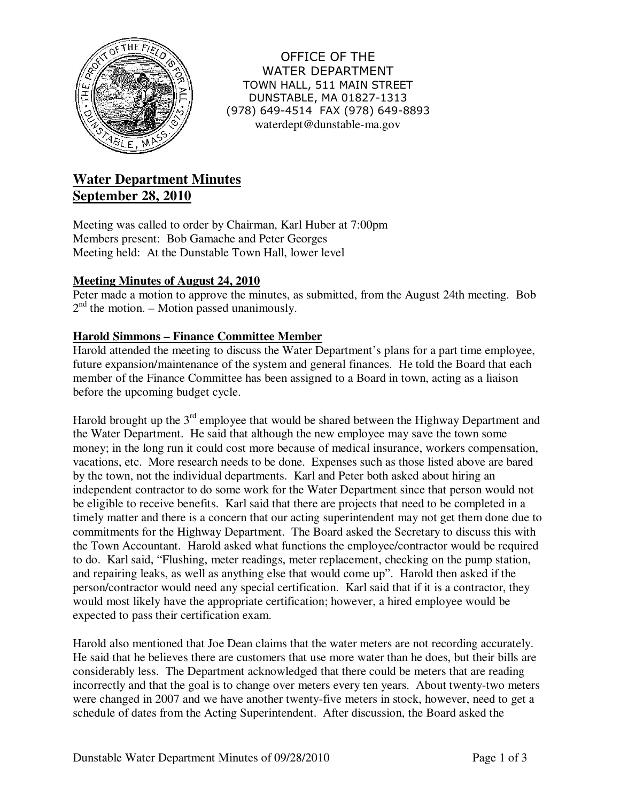

OFFICE OF THE WATER DEPARTMENT TOWN HALL, 511 MAIN STREET DUNSTABLE, MA 01827-1313 (978) 649-4514 FAX (978) 649-8893 waterdept@dunstable-ma.gov

# **Water Department Minutes September 28, 2010**

Meeting was called to order by Chairman, Karl Huber at 7:00pm Members present: Bob Gamache and Peter Georges Meeting held: At the Dunstable Town Hall, lower level

# **Meeting Minutes of August 24, 2010**

Peter made a motion to approve the minutes, as submitted, from the August 24th meeting. Bob  $2<sup>nd</sup>$  the motion. – Motion passed unanimously.

# **Harold Simmons – Finance Committee Member**

Harold attended the meeting to discuss the Water Department's plans for a part time employee, future expansion/maintenance of the system and general finances. He told the Board that each member of the Finance Committee has been assigned to a Board in town, acting as a liaison before the upcoming budget cycle.

Harold brought up the  $3<sup>rd</sup>$  employee that would be shared between the Highway Department and the Water Department. He said that although the new employee may save the town some money; in the long run it could cost more because of medical insurance, workers compensation, vacations, etc. More research needs to be done. Expenses such as those listed above are bared by the town, not the individual departments. Karl and Peter both asked about hiring an independent contractor to do some work for the Water Department since that person would not be eligible to receive benefits. Karl said that there are projects that need to be completed in a timely matter and there is a concern that our acting superintendent may not get them done due to commitments for the Highway Department. The Board asked the Secretary to discuss this with the Town Accountant. Harold asked what functions the employee/contractor would be required to do. Karl said, "Flushing, meter readings, meter replacement, checking on the pump station, and repairing leaks, as well as anything else that would come up". Harold then asked if the person/contractor would need any special certification. Karl said that if it is a contractor, they would most likely have the appropriate certification; however, a hired employee would be expected to pass their certification exam.

Harold also mentioned that Joe Dean claims that the water meters are not recording accurately. He said that he believes there are customers that use more water than he does, but their bills are considerably less. The Department acknowledged that there could be meters that are reading incorrectly and that the goal is to change over meters every ten years. About twenty-two meters were changed in 2007 and we have another twenty-five meters in stock, however, need to get a schedule of dates from the Acting Superintendent. After discussion, the Board asked the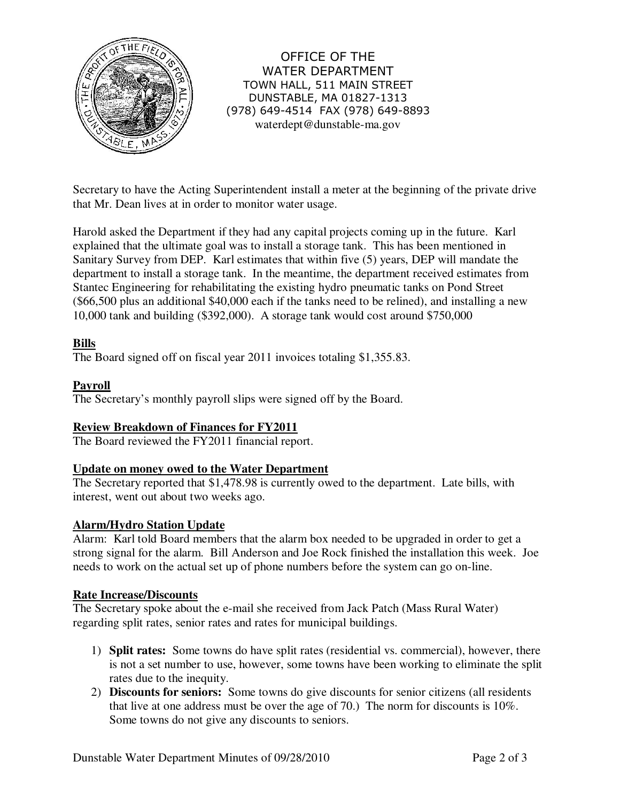

OFFICE OF THE WATER DEPARTMENT TOWN HALL, 511 MAIN STREET DUNSTABLE, MA 01827-1313 (978) 649-4514 FAX (978) 649-8893 waterdept@dunstable-ma.gov

Secretary to have the Acting Superintendent install a meter at the beginning of the private drive that Mr. Dean lives at in order to monitor water usage.

Harold asked the Department if they had any capital projects coming up in the future. Karl explained that the ultimate goal was to install a storage tank. This has been mentioned in Sanitary Survey from DEP. Karl estimates that within five (5) years, DEP will mandate the department to install a storage tank. In the meantime, the department received estimates from Stantec Engineering for rehabilitating the existing hydro pneumatic tanks on Pond Street (\$66,500 plus an additional \$40,000 each if the tanks need to be relined), and installing a new 10,000 tank and building (\$392,000). A storage tank would cost around \$750,000

#### **Bills**

The Board signed off on fiscal year 2011 invoices totaling \$1,355.83.

## **Payroll**

The Secretary's monthly payroll slips were signed off by the Board.

#### **Review Breakdown of Finances for FY2011**

The Board reviewed the FY2011 financial report.

#### **Update on money owed to the Water Department**

The Secretary reported that \$1,478.98 is currently owed to the department. Late bills, with interest, went out about two weeks ago.

#### **Alarm/Hydro Station Update**

Alarm: Karl told Board members that the alarm box needed to be upgraded in order to get a strong signal for the alarm. Bill Anderson and Joe Rock finished the installation this week. Joe needs to work on the actual set up of phone numbers before the system can go on-line.

#### **Rate Increase/Discounts**

The Secretary spoke about the e-mail she received from Jack Patch (Mass Rural Water) regarding split rates, senior rates and rates for municipal buildings.

- 1) **Split rates:** Some towns do have split rates (residential vs. commercial), however, there is not a set number to use, however, some towns have been working to eliminate the split rates due to the inequity.
- 2) **Discounts for seniors:** Some towns do give discounts for senior citizens (all residents that live at one address must be over the age of 70.) The norm for discounts is 10%. Some towns do not give any discounts to seniors.